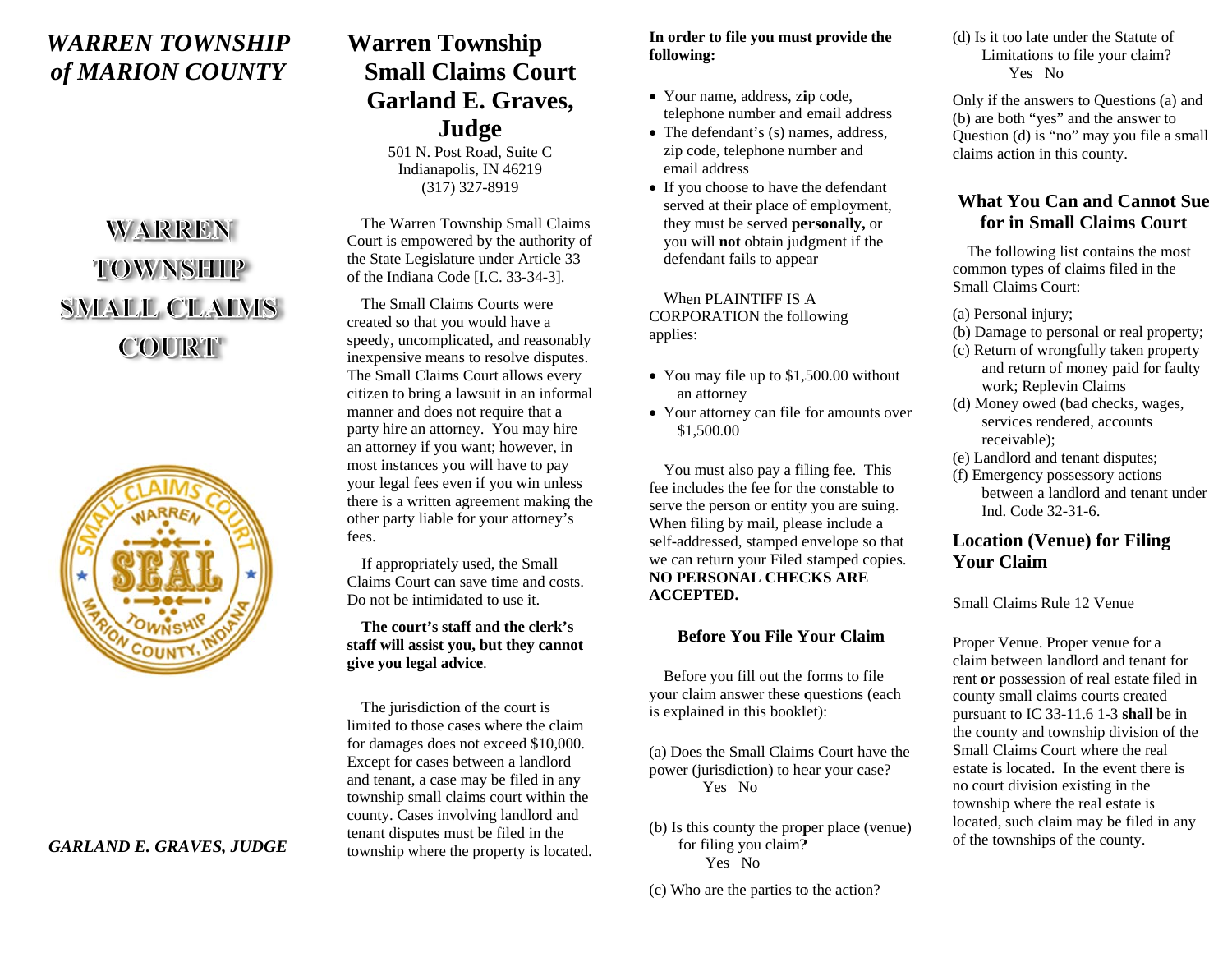# *WARRREN TOWNNSHIP of MARION COUNTY*

# WARREN TOWNSHIP **SMALL CLAIMS COURT**



# **Warren T o ownship Small Cl aaims CourtGarland E. Graves, J u udge**

501 N. Post Road, Suite C Indianapo lis, IN 46219 (317) 3 327-8919

The Warren Township Small Claims Court is empowered by the authority of the State Legislature under Article 33 of the Indiana Code  $[I.C. 33-34-3]$ .

The Small Claims Courts were created so that you would have a the State Legislature under Article 33<br>of the Indiana Code [I.C. 33-34-3].<br>The Small Claims Courts were<br>created so that you would have a<br>speedy, uncomplicated, and reasonably inexpensive means to resolve disputes. The Small Claims Court allows ever y citizen to bring a lawsuit in an informal manner and does not require that a party hire an attorney. You may hire an attorney if you want; however, in most instances yo u u will have to pay party nire an attorney. You may hire<br>an attorney if you want; however, in<br>most instances you will have to pay<br>your legal fees even if you win unless there is a written agreement making the other party liable f for your attorney's fees.

 If appropriately used, the Small Claims Court can save time and costs. Do not be intimidated to use it.

**The court's staaff and the clerk's staff** will assist you, but they cannot **give you le gal ad vvice**.

The jurisdiction of the court is limited to those caases where the claimfor damages does not exceed \$10,000. Except for cases b etween a landlord and tenant, a case may be filed in an y township small claims court within the county. Cases involving landlord and tenant disputes mu ust be filed in the township where the property is located.

#### **In ordder to file you mus st provide the followi in g:**

- Your name, address, zip code, tele p phone number and email address
- The defendant's (s) names, address, zip c code, telephone nu m mber and emaiil address
- If you choose to have the defendant served at their place of employment, the y y must be served **pe ersonall y,** or you will **not** obtain ju d dgment if the defendant fails to appe ear

When PLAINTIFF IS A CORPORATION the following applies s:

- You may file up to \$1,500.00 without an attorney
- Your attorney can file for amounts over \$1 1,500.00

You must also pay a filing fee. This fee includes the fee for the constable to serve the person or entity you are suing. When filing by mail, please include a self-addressed, stamped envelope so that we ca n n return your Filed stamped copies. **NO PEERSONAL CHECCKS ARE ACCEEPTED.**

#### **Beefore You File YYour Claim**

Before you fill out the forms to file your cl laim answer these q questions (each is expl ained in this bookl let):

(a) Does the Small Claims Court have the power (jurisdiction) to he ear your case? Yes No

- (b) Is this county the proper place (venue) for filing you claim? Yes No
- (c) Who are the parties to the action?

(d) Is it too late under the Statute of Limitations to file your claim? Yes No

Only if the answers to Questions (a) and (b) are both "yes" and the answer to Question (d) is "no" may you file a small claims action in this county.

### **What Youu Can and Cannot Sue for in SSmall Claims CCourt**

The following list contains the most common types of claims filed in the Small Claims Court:

(a) Personal i n njury;

- (b) Damage to personal or real property;
- (c) Return of wrongfully taken p property and return of money paid for faulty work; Re eplevin Claims
- (d) Money owed (bad checks, wages, services rendered, accounts receivable); services rendered, accounts<br>receivable);<br>(e) Landlord and tenant disputes;
- 
- (f) Emergency possessory actions between a landlord and tenaant under Ind. Code 32-31-6.

## **Location ( VVenue) for Fili ng Your Claim**

Small Claims Rule 12 Venue

Proper Venue. Proper venue for a claim between landlord and tenant for rent **or** possession of real estate filed in county small claims courts created pursuant to IC  $33-11.6$  1-3 **shall** be in the county and township division of the Small Claims Court where the real estate is located. In the event there is no court divis sion existing in the township where the real estate is located, such claim may be filed in any of the towns h hips of the county.

#### *GARLANND E. GRAVES, JUDGE*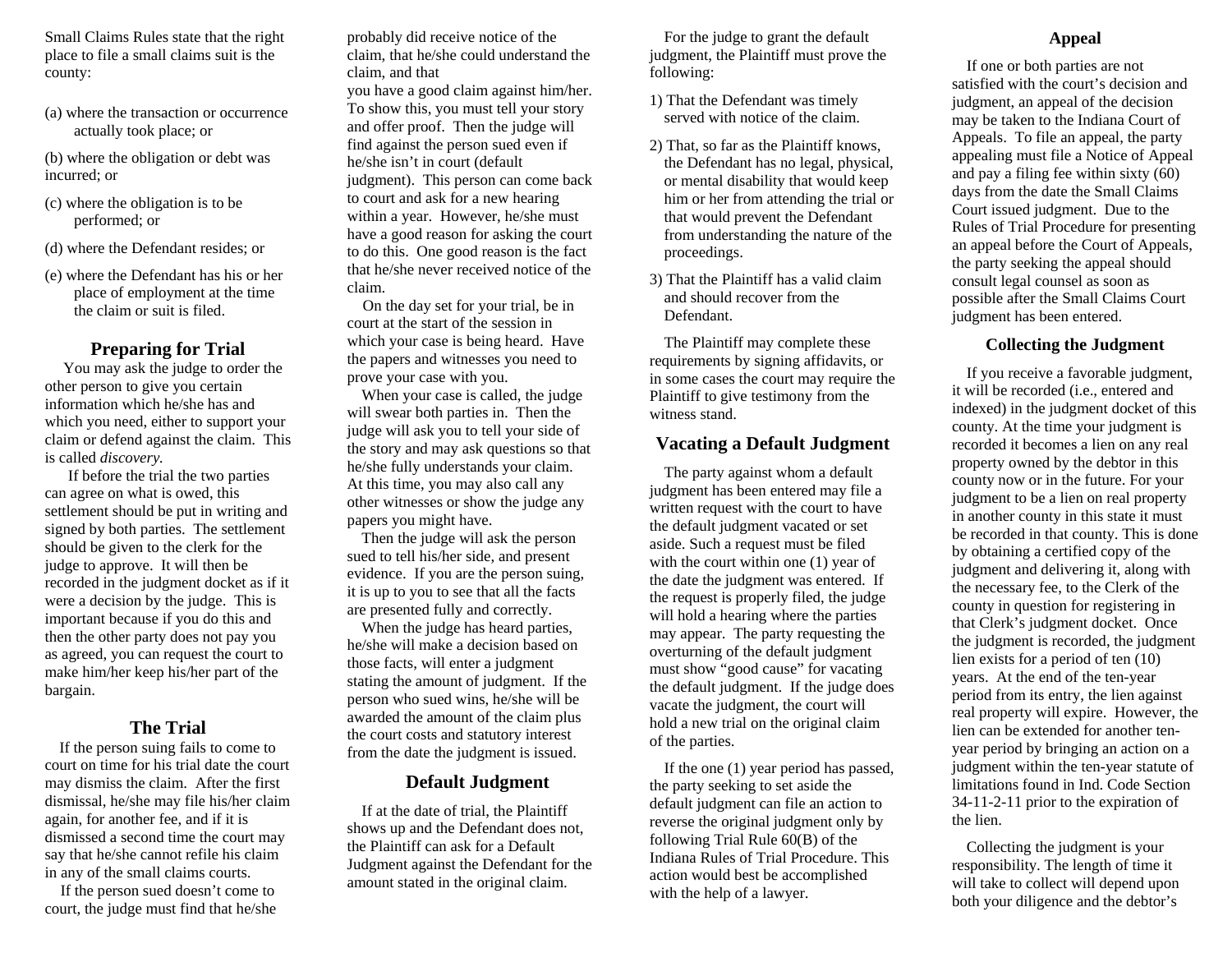Small Claims Rules state that the right place to file a small claims suit is the county:

(a) where the transaction or occurrence actually took place; or

(b) where the obligation or debt was incurred; or

- (c) where the obligation is to be performed; or
- (d) where the Defendant resides; or
- (e) where the Defendant has his or her place of employment at the time the claim or suit is filed.

#### **Preparing for Trial**

You may ask the judge to order the other person to give you certain information which he/she has and which you need, either to support your claim or defend against the claim. This is called *discovery.*

 If before the trial the two parties can agree on what is owed, this settlement should be put in writing and signed by both parties. The settlement should be given to the clerk for the judge to approve. It will then be recorded in the judgment docket as if it were a decision by the judge. This is important because if you do this and then the other party does not pay you as agreed, you can request the court to make him/her keep his/her part of the bargain.

#### **The Trial**

 If the person suing fails to come to court on time for his trial date the court may dismiss the claim. After the first dismissal, he/she may file his/her claim again, for another fee, and if it is dismissed a second time the court may say that he/she cannot refile his claim in any of the small claims courts.

 If the person sued doesn't come to court, the judge must find that he/she

probably did receive notice of the claim, that he/she could understand the claim, and that you have a good claim against him/her. To show this, you must tell your story and offer proof. Then the judge will find against the person sued even if he/she isn't in court (default judgment). This person can come back to court and ask for a new hearing within a year. However, he/she must have a good reason for asking the court to do this. One good reason is the fact that he/she never received notice of the claim.

 On the day set for your trial, be in court at the start of the session in which your case is being heard. Have the papers and witnesses you need to prove your case with you.

 When your case is called, the judge will swear both parties in. Then the judge will ask you to tell your side of the story and may ask questions so that he/she fully understands your claim. At this time, you may also call any other witnesses or show the judge any papers you might have.

 Then the judge will ask the person sued to tell his/her side, and present evidence. If you are the person suing, it is up to you to see that all the facts are presented fully and correctly.

 When the judge has heard parties, he/she will make a decision based on those facts, will enter a judgment stating the amount of judgment. If the person who sued wins, he/she will be awarded the amount of the claim plus the court costs and statutory interest from the date the judgment is issued.

#### **Default Judgment**

 If at the date of trial, the Plaintiff shows up and the Defendant does not, the Plaintiff can ask for a Default Judgment against the Defendant for the amount stated in the original claim.

 For the judge to grant the default judgment, the Plaintiff must prove the following:

- 1) That the Defendant was timely served with notice of the claim.
- 2) That, so far as the Plaintiff knows, the Defendant has no legal, physical, or mental disability that would keep him or her from attending the trial or that would prevent the Defendant from understanding the nature of the proceedings.
- 3) That the Plaintiff has a valid claim and should recover from the Defendant.

 The Plaintiff may complete these requirements by signing affidavits, or in some cases the court may require the Plaintiff to give testimony from the witness stand.

#### **Vacating a Default Judgment**

 The party against whom a default judgment has been entered may file a written request with the court to have the default judgment vacated or set aside. Such a request must be filed with the court within one (1) year of the date the judgment was entered. If the request is properly filed, the judge will hold a hearing where the parties may appear. The party requesting the overturning of the default judgment must show "good cause" for vacating the default judgment. If the judge does vacate the judgment, the court will hold a new trial on the original claim of the parties.

 If the one (1) year period has passed, the party seeking to set aside the default judgment can file an action to reverse the original judgment only by following Trial Rule 60(B) of the Indiana Rules of Trial Procedure. This action would best be accomplished with the help of a lawyer.

#### **Appeal**

 If one or both parties are not satisfied with the court's decision and judgment, an appeal of the decision may be taken to the Indiana Court of Appeals. To file an appeal, the party appealing must file a Notice of Appeal and pay a filing fee within sixty (60) days from the date the Small Claims Court issued judgment. Due to the Rules of Trial Procedure for presenting an appeal before the Court of Appeals, the party seeking the appeal should consult legal counsel as soon as possible after the Small Claims Court judgment has been entered.

#### **Collecting the Judgment**

 If you receive a favorable judgment, it will be recorded (i.e., entered and indexed) in the judgment docket of this county. At the time your judgment is recorded it becomes a lien on any real property owned by the debtor in this county now or in the future. For your judgment to be a lien on real property in another county in this state it must be recorded in that county. This is done by obtaining a certified copy of the judgment and delivering it, along with the necessary fee, to the Clerk of the county in question for registering in that Clerk's judgment docket. Once the judgment is recorded, the judgment lien exists for a period of ten (10) years. At the end of the ten-year period from its entry, the lien against real property will expire. However, the lien can be extended for another tenyear period by bringing an action on a judgment within the ten-year statute of limitations found in Ind. Code Section 34-11-2-11 prior to the expiration of the lien.

 Collecting the judgment is your responsibility. The length of time it will take to collect will depend upon both your diligence and the debtor's